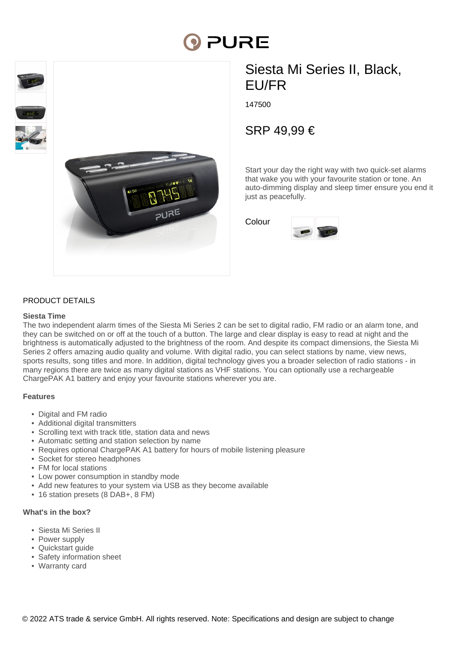# **DI PURE**



# Siesta Mi Series II, Black, EU/FR

147500

SRP 49,99 €

Start your day the right way with two quick-set alarms that wake you with your favourite station or tone. An auto-dimming display and sleep timer ensure you end it just as peacefully.

Colour



## PRODUCT DETAILS

#### **Siesta Time**

The two independent alarm times of the Siesta Mi Series 2 can be set to digital radio, FM radio or an alarm tone, and they can be switched on or off at the touch of a button. The large and clear display is easy to read at night and the brightness is automatically adjusted to the brightness of the room. And despite its compact dimensions, the Siesta Mi Series 2 offers amazing audio quality and volume. With digital radio, you can select stations by name, view news, sports results, song titles and more. In addition, digital technology gives you a broader selection of radio stations - in many regions there are twice as many digital stations as VHF stations. You can optionally use a rechargeable ChargePAK A1 battery and enjoy your favourite stations wherever you are.

#### **Features**

- Digital and FM radio
- Additional digital transmitters
- Scrolling text with track title, station data and news
- Automatic setting and station selection by name
- Requires optional ChargePAK A1 battery for hours of mobile listening pleasure
- Socket for stereo headphones
- FM for local stations
- Low power consumption in standby mode
- Add new features to your system via USB as they become available
- 16 station presets (8 DAB+, 8 FM)

#### **What's in the box?**

- Siesta Mi Series II
- Power supply
- Quickstart guide
- Safety information sheet
- Warranty card